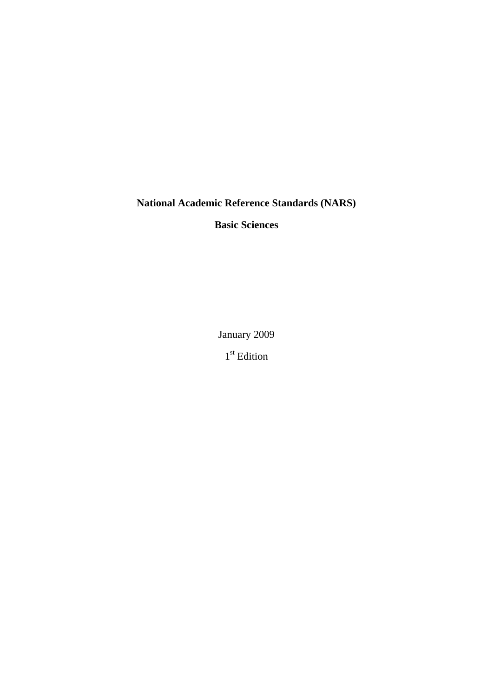**National Academic Reference Standards (NARS)**

**Basic Sciences**

January 2009

1<sup>st</sup> Edition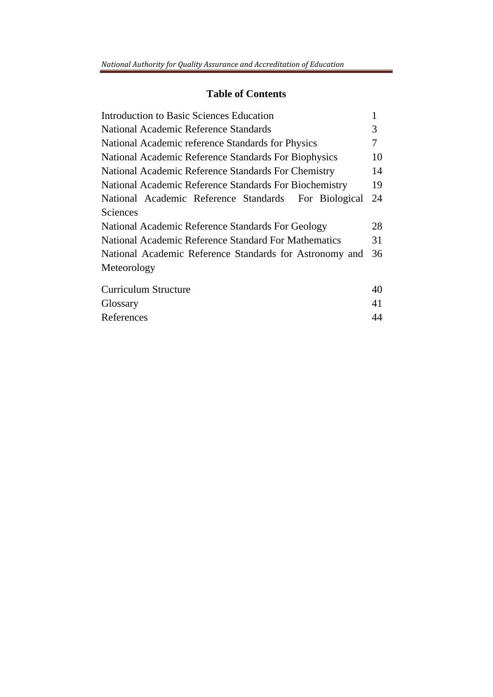## **Table of Contents**

| <b>Introduction to Basic Sciences Education</b>         |    |  |
|---------------------------------------------------------|----|--|
| National Academic Reference Standards                   |    |  |
| National Academic reference Standards for Physics       |    |  |
| National Academic Reference Standards For Biophysics    |    |  |
| National Academic Reference Standards For Chemistry     |    |  |
| National Academic Reference Standards For Biochemistry  |    |  |
| National Academic Reference Standards For Biological    | 24 |  |
| Sciences                                                |    |  |
| National Academic Reference Standards For Geology       |    |  |
| National Academic Reference Standard For Mathematics    |    |  |
| National Academic Reference Standards for Astronomy and |    |  |
| Meteorology                                             |    |  |
| Curriculum Structure                                    | 40 |  |
| Glossary                                                | 41 |  |
| References                                              | 44 |  |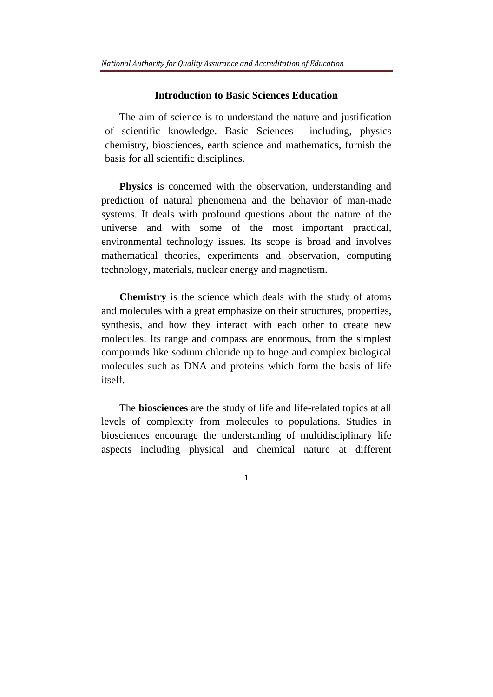### **Introduction to Basic Sciences Education**

The aim of science is to understand the nature and justification of scientific knowledge. Basic Sciences including, physics chemistry, biosciences, earth science and mathematics, furnish the basis for all scientific disciplines.

**Physics** is concerned with the observation, understanding and prediction of natural phenomena and the behavior of man-made systems. It deals with profound questions about the nature of the universe and with some of the most important practical, environmental technology issues. Its scope is broad and involves mathematical theories, experiments and observation, computing technology, materials, nuclear energy and magnetism.

**Chemistry** is the science which deals with the study of atoms and molecules with a great emphasize on their structures, properties, synthesis, and how they interact with each other to create new molecules. Its range and compass are enormous, from the simplest compounds like sodium chloride up to huge and complex biological molecules such as DNA and proteins which form the basis of life itself.

The **biosciences** are the study of life and life-related topics at all levels of complexity from molecules to populations. Studies in biosciences encourage the understanding of multidisciplinary life aspects including physical and chemical nature at different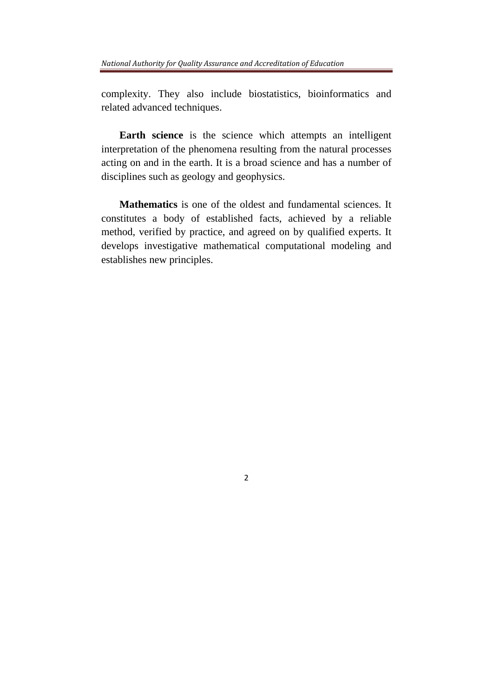complexity. They also include biostatistics, bioinformatics and related advanced techniques.

**Earth science** is the science which attempts an intelligent interpretation of the phenomena resulting from the natural processes acting on and in the earth. It is a broad science and has a number of disciplines such as geology and geophysics.

**Mathematics** is one of the oldest and fundamental sciences. It constitutes a body of established facts, achieved by a reliable method, verified by practice, and agreed on by qualified experts. It develops investigative mathematical computational modeling and establishes new principles.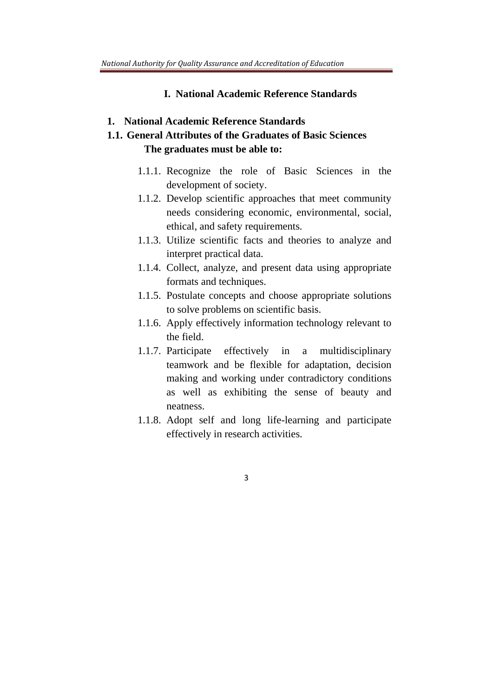#### **I. National Academic Reference Standards**

**1. National Academic Reference Standards** 

## **1.1. General Attributes of the Graduates of Basic Sciences The graduates must be able to:**

- 1.1.1. Recognize the role of Basic Sciences in the development of society.
- 1.1.2. Develop scientific approaches that meet community needs considering economic, environmental, social, ethical, and safety requirements.
- 1.1.3. Utilize scientific facts and theories to analyze and interpret practical data.
- 1.1.4. Collect, analyze, and present data using appropriate formats and techniques.
- 1.1.5. Postulate concepts and choose appropriate solutions to solve problems on scientific basis.
- 1.1.6. Apply effectively information technology relevant to the field.
- 1.1.7. Participate effectively in a multidisciplinary teamwork and be flexible for adaptation, decision making and working under contradictory conditions as well as exhibiting the sense of beauty and neatness.
- 1.1.8. Adopt self and long life-learning and participate effectively in research activities.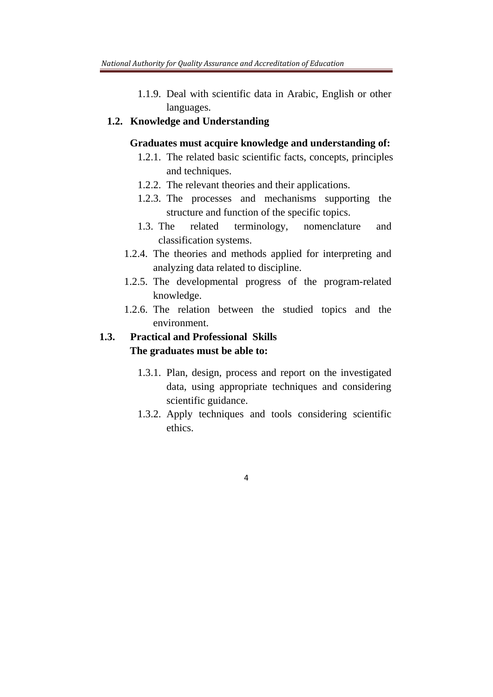1.1.9. Deal with scientific data in Arabic, English or other languages.

## **1.2. Knowledge and Understanding**

### **Graduates must acquire knowledge and understanding of:**

- 1.2.1. The related basic scientific facts, concepts, principles and techniques.
- 1.2.2. The relevant theories and their applications.
- 1.2.3. The processes and mechanisms supporting the structure and function of the specific topics.
- 1.3. The related terminology, nomenclature and classification systems.
- 1.2.4. The theories and methods applied for interpreting and analyzing data related to discipline.
- 1.2.5. The developmental progress of the program-related knowledge.
- 1.2.6. The relation between the studied topics and the environment.

## **1.3. Practical and Professional Skills The graduates must be able to:**

- 1.3.1. Plan, design, process and report on the investigated data, using appropriate techniques and considering scientific guidance.
- 1.3.2. Apply techniques and tools considering scientific ethics.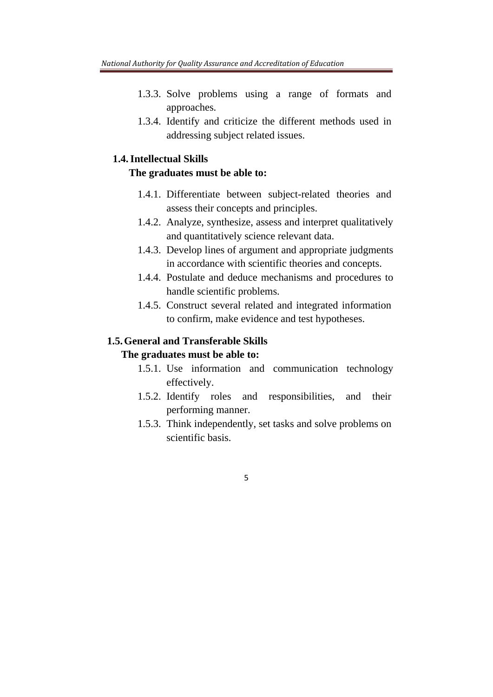- 1.3.3. Solve problems using a range of formats and approaches.
- 1.3.4. Identify and criticize the different methods used in addressing subject related issues.

## **1.4.Intellectual Skills**

### **The graduates must be able to:**

- 1.4.1. Differentiate between subject-related theories and assess their concepts and principles.
- 1.4.2. Analyze, synthesize, assess and interpret qualitatively and quantitatively science relevant data.
- 1.4.3. Develop lines of argument and appropriate judgments in accordance with scientific theories and concepts.
- 1.4.4. Postulate and deduce mechanisms and procedures to handle scientific problems.
- 1.4.5. Construct several related and integrated information to confirm, make evidence and test hypotheses.

## **1.5.General and Transferable Skills**

### **The graduates must be able to:**

- 1.5.1. Use information and communication technology effectively.
- 1.5.2. Identify roles and responsibilities, and their performing manner.
- 1.5.3. Think independently, set tasks and solve problems on scientific basis.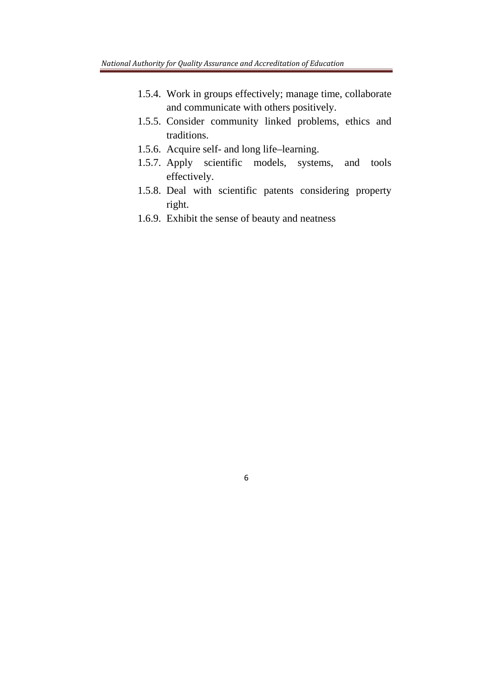- 1.5.4. Work in groups effectively; manage time, collaborate and communicate with others positively.
- 1.5.5. Consider community linked problems, ethics and traditions.
- 1.5.6. Acquire self- and long life–learning.
- 1.5.7. Apply scientific models, systems, and tools effectively.
- 1.5.8. Deal with scientific patents considering property right.
- 1.6.9. Exhibit the sense of beauty and neatness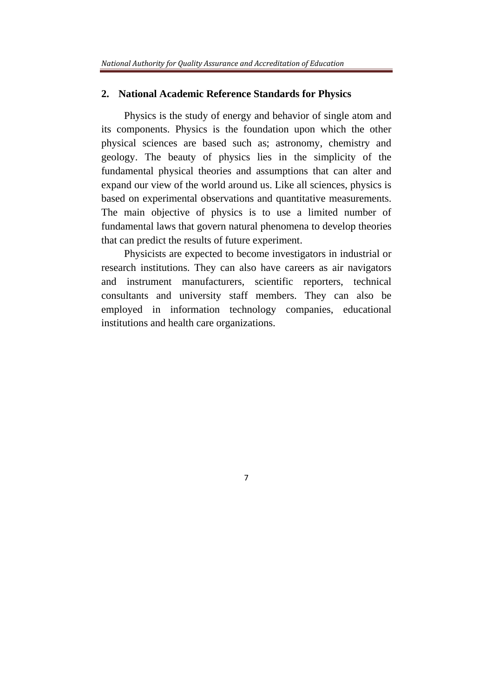#### **2. National Academic Reference Standards for Physics**

Physics is the study of energy and behavior of single atom and its components. Physics is the foundation upon which the other physical sciences are based such as; astronomy, chemistry and geology. The beauty of physics lies in the simplicity of the fundamental physical theories and assumptions that can alter and expand our view of the world around us. Like all sciences, physics is based on experimental observations and quantitative measurements. The main objective of physics is to use a limited number of fundamental laws that govern natural phenomena to develop theories that can predict the results of future experiment.

Physicists are expected to become investigators in industrial or research institutions. They can also have careers as air navigators and instrument manufacturers, scientific reporters, technical consultants and university staff members. They can also be employed in information technology companies, educational institutions and health care organizations.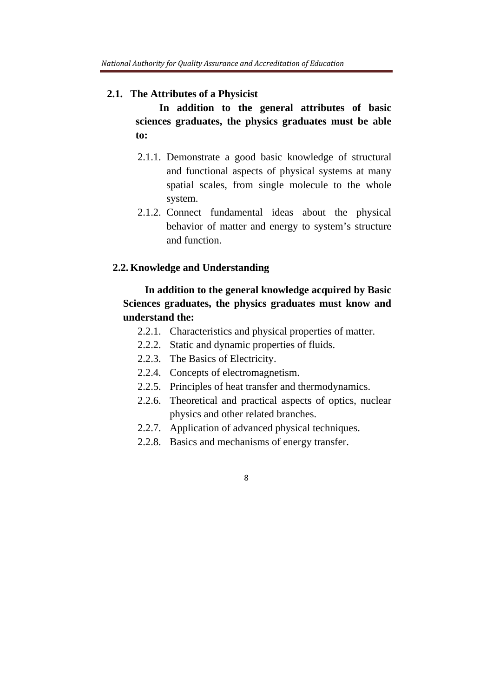#### **2.1. The Attributes of a Physicist**

 **In addition to the general attributes of basic sciences graduates, the physics graduates must be able to:** 

- 2.1.1. Demonstrate a good basic knowledge of structural and functional aspects of physical systems at many spatial scales, from single molecule to the whole system.
- 2.1.2. Connect fundamental ideas about the physical behavior of matter and energy to system's structure and function.

### **2.2. Knowledge and Understanding**

## **In addition to the general knowledge acquired by Basic Sciences graduates, the physics graduates must know and understand the:**

- 2.2.1. Characteristics and physical properties of matter.
- 2.2.2. Static and dynamic properties of fluids.
- 2.2.3. The Basics of Electricity.
- 2.2.4. Concepts of electromagnetism.
- 2.2.5. Principles of heat transfer and thermodynamics.
- 2.2.6. Theoretical and practical aspects of optics, nuclear physics and other related branches.
- 2.2.7. Application of advanced physical techniques.
- 2.2.8. Basics and mechanisms of energy transfer.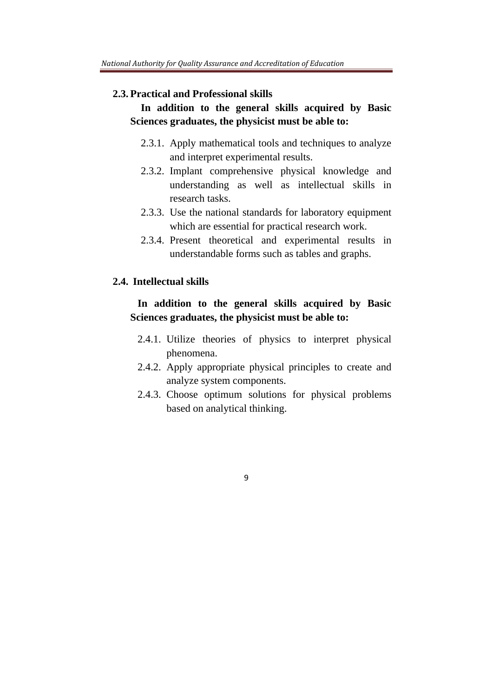#### **2.3. Practical and Professional skills**

## **In addition to the general skills acquired by Basic Sciences graduates, the physicist must be able to:**

- 2.3.1. Apply mathematical tools and techniques to analyze and interpret experimental results.
- 2.3.2. Implant comprehensive physical knowledge and understanding as well as intellectual skills in research tasks.
- 2.3.3. Use the national standards for laboratory equipment which are essential for practical research work.
- 2.3.4. Present theoretical and experimental results in understandable forms such as tables and graphs.

#### **2.4. Intellectual skills**

## **In addition to the general skills acquired by Basic Sciences graduates, the physicist must be able to:**

- 2.4.1. Utilize theories of physics to interpret physical phenomena.
- 2.4.2. Apply appropriate physical principles to create and analyze system components.
- 2.4.3. Choose optimum solutions for physical problems based on analytical thinking.
	- 9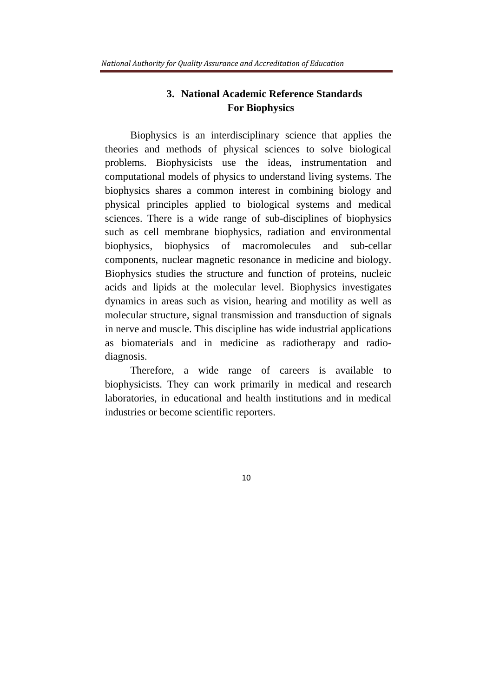## **3. National Academic Reference Standards For Biophysics**

Biophysics is an interdisciplinary science that applies the theories and methods of physical sciences to solve biological problems. Biophysicists use the ideas, instrumentation and computational models of physics to understand living systems. The biophysics shares a common interest in combining biology and physical principles applied to biological systems and medical sciences. There is a wide range of sub-disciplines of biophysics such as cell membrane biophysics, radiation and environmental biophysics, biophysics of macromolecules and sub-cellar components, nuclear magnetic resonance in medicine and biology. Biophysics studies the structure and function of proteins, nucleic acids and lipids at the molecular level. Biophysics investigates dynamics in areas such as vision, hearing and motility as well as molecular structure, signal transmission and transduction of signals in nerve and muscle. This discipline has wide industrial applications as biomaterials and in medicine as radiotherapy and radiodiagnosis.

Therefore, a wide range of careers is available to biophysicists. They can work primarily in medical and research laboratories, in educational and health institutions and in medical industries or become scientific reporters.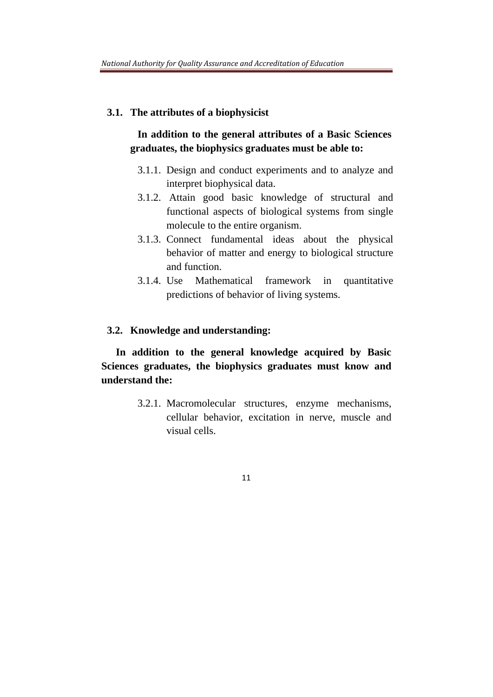#### **3.1. The attributes of a biophysicist**

## **In addition to the general attributes of a Basic Sciences graduates, the biophysics graduates must be able to:**

- 3.1.1. Design and conduct experiments and to analyze and interpret biophysical data.
- 3.1.2. Attain good basic knowledge of structural and functional aspects of biological systems from single molecule to the entire organism.
- 3.1.3. Connect fundamental ideas about the physical behavior of matter and energy to biological structure and function.
- 3.1.4. Use Mathematical framework in quantitative predictions of behavior of living systems.

### **3.2. Knowledge and understanding:**

**In addition to the general knowledge acquired by Basic Sciences graduates, the biophysics graduates must know and understand the:** 

> 3.2.1. Macromolecular structures, enzyme mechanisms, cellular behavior, excitation in nerve, muscle and visual cells.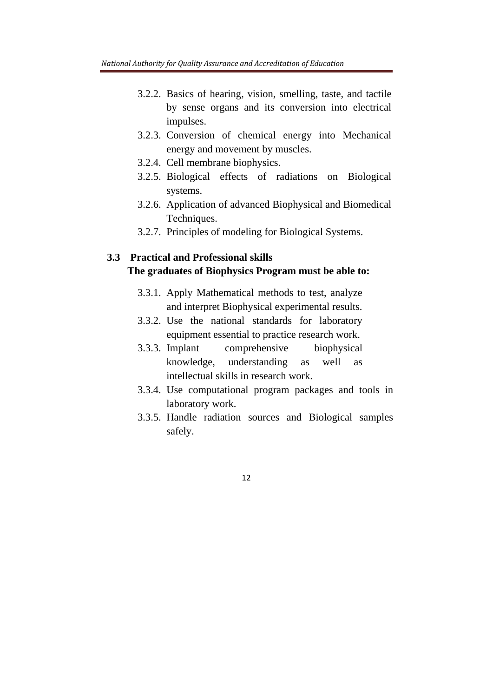- 3.2.2. Basics of hearing, vision, smelling, taste, and tactile by sense organs and its conversion into electrical impulses.
- 3.2.3. Conversion of chemical energy into Mechanical energy and movement by muscles.
- 3.2.4. Cell membrane biophysics.
- 3.2.5. Biological effects of radiations on Biological systems.
- 3.2.6. Application of advanced Biophysical and Biomedical Techniques.
- 3.2.7. Principles of modeling for Biological Systems.

## **3.3 Practical and Professional skills The graduates of Biophysics Program must be able to:**

- 3.3.1. Apply Mathematical methods to test, analyze and interpret Biophysical experimental results.
- 3.3.2. Use the national standards for laboratory equipment essential to practice research work.
- 3.3.3. Implant comprehensive biophysical knowledge, understanding as well as intellectual skills in research work.
- 3.3.4. Use computational program packages and tools in laboratory work.
- 3.3.5. Handle radiation sources and Biological samples safely.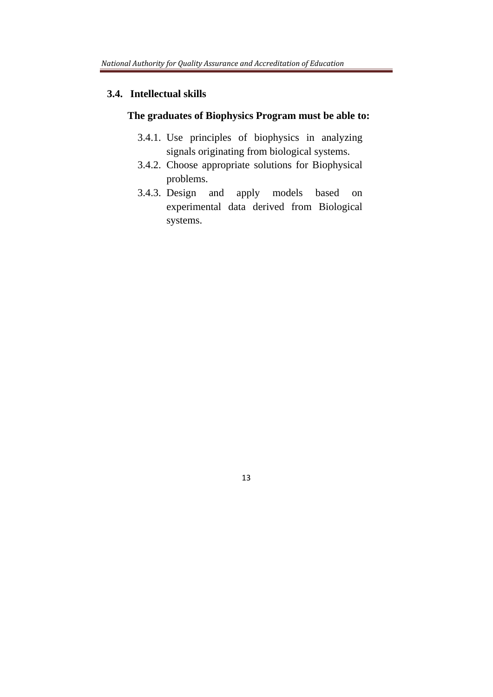#### **3.4. Intellectual skills**

## **The graduates of Biophysics Program must be able to:**

- 3.4.1. Use principles of biophysics in analyzing signals originating from biological systems.
- 3.4.2. Choose appropriate solutions for Biophysical problems.
- 3.4.3. Design and apply models based on experimental data derived from Biological systems.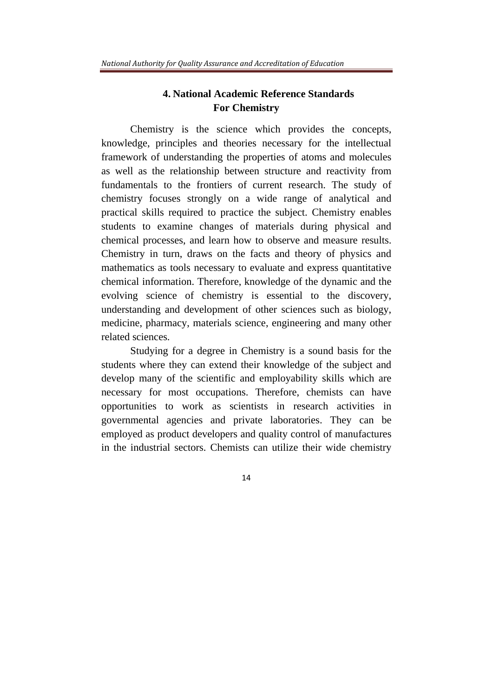## **4. National Academic Reference Standards For Chemistry**

Chemistry is the science which provides the concepts, knowledge, principles and theories necessary for the intellectual framework of understanding the properties of atoms and molecules as well as the relationship between structure and reactivity from fundamentals to the frontiers of current research. The study of chemistry focuses strongly on a wide range of analytical and practical skills required to practice the subject. Chemistry enables students to examine changes of materials during physical and chemical processes, and learn how to observe and measure results. Chemistry in turn, draws on the facts and theory of physics and mathematics as tools necessary to evaluate and express quantitative chemical information. Therefore, knowledge of the dynamic and the evolving science of chemistry is essential to the discovery, understanding and development of other sciences such as biology, medicine, pharmacy, materials science, engineering and many other related sciences.

Studying for a degree in Chemistry is a sound basis for the students where they can extend their knowledge of the subject and develop many of the scientific and employability skills which are necessary for most occupations. Therefore, chemists can have opportunities to work as scientists in research activities in governmental agencies and private laboratories. They can be employed as product developers and quality control of manufactures in the industrial sectors. Chemists can utilize their wide chemistry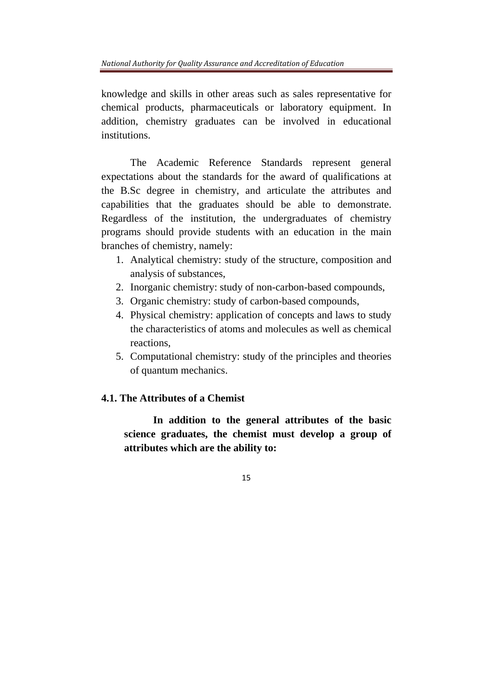knowledge and skills in other areas such as sales representative for chemical products, pharmaceuticals or laboratory equipment. In addition, chemistry graduates can be involved in educational institutions.

The Academic Reference Standards represent general expectations about the standards for the award of qualifications at the B.Sc degree in chemistry, and articulate the attributes and capabilities that the graduates should be able to demonstrate. Regardless of the institution, the undergraduates of chemistry programs should provide students with an education in the main branches of chemistry, namely:

- 1. Analytical chemistry: study of the structure, composition and analysis of substances,
- 2. Inorganic chemistry: study of non-carbon-based compounds,
- 3. Organic chemistry: study of carbon-based compounds,
- 4. Physical chemistry: application of concepts and laws to study the characteristics of atoms and molecules as well as chemical reactions,
- 5. Computational chemistry: study of the principles and theories of quantum mechanics.

### **4.1. The Attributes of a Chemist**

**In addition to the general attributes of the basic science graduates, the chemist must develop a group of attributes which are the ability to:**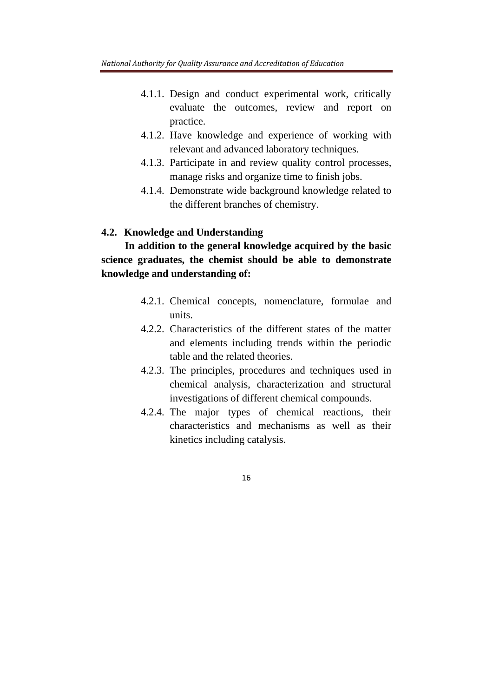- 4.1.1. Design and conduct experimental work, critically evaluate the outcomes, review and report on practice.
- 4.1.2. Have knowledge and experience of working with relevant and advanced laboratory techniques.
- 4.1.3. Participate in and review quality control processes, manage risks and organize time to finish jobs.
- 4.1.4. Demonstrate wide background knowledge related to the different branches of chemistry.

### **4.2. Knowledge and Understanding**

 **In addition to the general knowledge acquired by the basic science graduates, the chemist should be able to demonstrate knowledge and understanding of:** 

- 4.2.1. Chemical concepts, nomenclature, formulae and units.
- 4.2.2. Characteristics of the different states of the matter and elements including trends within the periodic table and the related theories.
- 4.2.3. The principles, procedures and techniques used in chemical analysis, characterization and structural investigations of different chemical compounds.
- 4.2.4. The major types of chemical reactions, their characteristics and mechanisms as well as their kinetics including catalysis.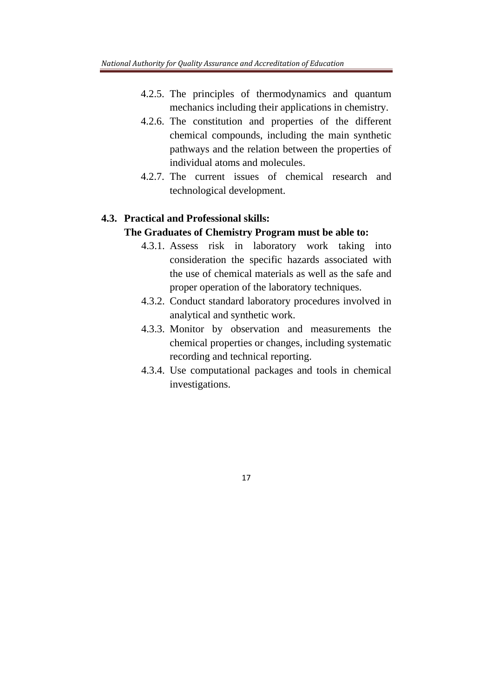- 4.2.5. The principles of thermodynamics and quantum mechanics including their applications in chemistry.
- 4.2.6. The constitution and properties of the different chemical compounds, including the main synthetic pathways and the relation between the properties of individual atoms and molecules.
- 4.2.7. The current issues of chemical research and technological development.

## **4.3. Practical and Professional skills:**

## **The Graduates of Chemistry Program must be able to:**

- 4.3.1. Assess risk in laboratory work taking into consideration the specific hazards associated with the use of chemical materials as well as the safe and proper operation of the laboratory techniques.
- 4.3.2. Conduct standard laboratory procedures involved in analytical and synthetic work.
- 4.3.3. Monitor by observation and measurements the chemical properties or changes, including systematic recording and technical reporting.
- 4.3.4. Use computational packages and tools in chemical investigations.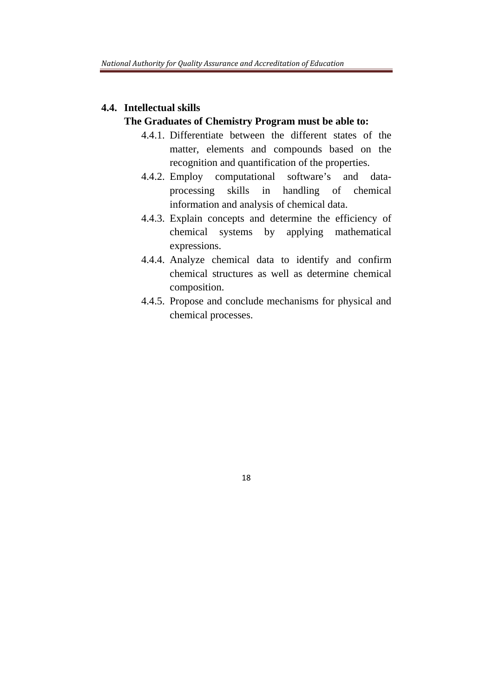# **4.4. Intellectual skills**

## **The Graduates of Chemistry Program must be able to:**

- 4.4.1. Differentiate between the different states of the matter, elements and compounds based on the recognition and quantification of the properties.
- 4.4.2. Employ computational software's and dataprocessing skills in handling of chemical information and analysis of chemical data.
- 4.4.3. Explain concepts and determine the efficiency of chemical systems by applying mathematical expressions.
- 4.4.4. Analyze chemical data to identify and confirm chemical structures as well as determine chemical composition.
- 4.4.5. Propose and conclude mechanisms for physical and chemical processes.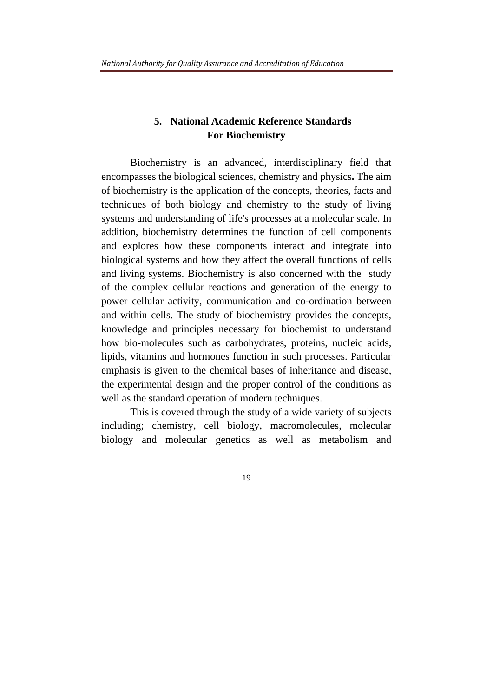## **5. National Academic Reference Standards For Biochemistry**

Biochemistry is an advanced, interdisciplinary field that encompasses the biological sciences, chemistry and physics**.** The aim of biochemistry is the application of the concepts, theories, facts and techniques of both biology and chemistry to the study of living systems and understanding of life's processes at a molecular scale. In addition, biochemistry determines the function of cell components and explores how these components interact and integrate into biological systems and how they affect the overall functions of cells and living systems. Biochemistry is also concerned with the study of the complex cellular reactions and generation of the energy to power cellular activity, communication and co-ordination between and within cells. The study of biochemistry provides the concepts, knowledge and principles necessary for biochemist to understand how bio-molecules such as carbohydrates, proteins, nucleic acids, lipids, vitamins and hormones function in such processes. Particular emphasis is given to the chemical bases of inheritance and disease, the experimental design and the proper control of the conditions as well as the standard operation of modern techniques.

This is covered through the study of a wide variety of subjects including; chemistry, cell biology, macromolecules, molecular biology and molecular genetics as well as metabolism and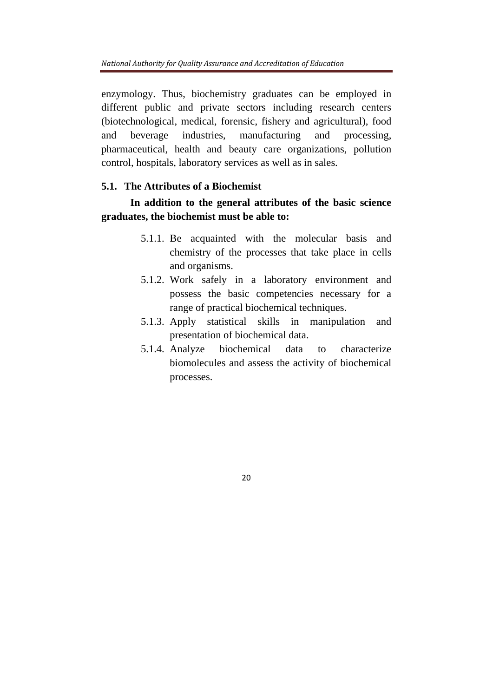enzymology. Thus, biochemistry graduates can be employed in different public and private sectors including research centers (biotechnological, medical, forensic, fishery and agricultural), food and beverage industries, manufacturing and processing, pharmaceutical, health and beauty care organizations, pollution control, hospitals, laboratory services as well as in sales.

## **5.1. The Attributes of a Biochemist**

## **In addition to the general attributes of the basic science graduates, the biochemist must be able to:**

- 5.1.1. Be acquainted with the molecular basis and chemistry of the processes that take place in cells and organisms.
- 5.1.2. Work safely in a laboratory environment and possess the basic competencies necessary for a range of practical biochemical techniques.
- 5.1.3. Apply statistical skills in manipulation and presentation of biochemical data.
- 5.1.4. Analyze biochemical data to characterize biomolecules and assess the activity of biochemical processes.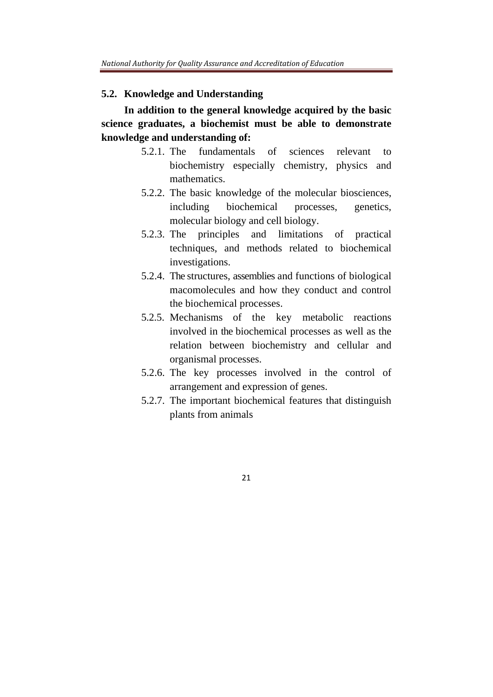#### **5.2. Knowledge and Understanding**

 **In addition to the general knowledge acquired by the basic science graduates, a biochemist must be able to demonstrate knowledge and understanding of:** 

- 5.2.1. The fundamentals of sciences relevant to biochemistry especially chemistry, physics and mathematics.
- 5.2.2. The basic knowledge of the molecular biosciences, including biochemical processes, genetics, molecular biology and cell biology.
- 5.2.3. The principles and limitations of practical techniques, and methods related to biochemical investigations.
- 5.2.4. The structures, assemblies and functions of biological macomolecules and how they conduct and control the biochemical processes.
- 5.2.5. Mechanisms of the key metabolic reactions involved in the biochemical processes as well as the relation between biochemistry and cellular and organismal processes.
- 5.2.6. The key processes involved in the control of arrangement and expression of genes.
- 5.2.7. The important biochemical features that distinguish plants from animals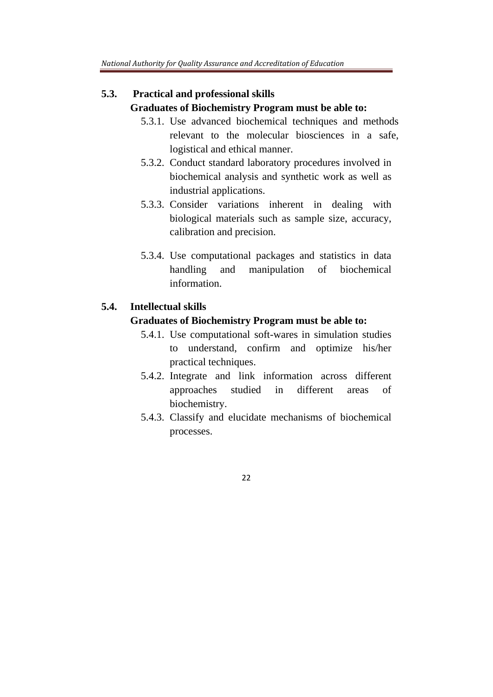## **5.3. Practical and professional skills Graduates of Biochemistry Program must be able to:**

- 5.3.1. Use advanced biochemical techniques and methods relevant to the molecular biosciences in a safe, logistical and ethical manner.
- 5.3.2. Conduct standard laboratory procedures involved in biochemical analysis and synthetic work as well as industrial applications.
- 5.3.3. Consider variations inherent in dealing with biological materials such as sample size, accuracy, calibration and precision.
- 5.3.4. Use computational packages and statistics in data handling and manipulation of biochemical information.

## **5.4. Intellectual skills**

#### **Graduates of Biochemistry Program must be able to:**

- 5.4.1. Use computational soft-wares in simulation studies to understand, confirm and optimize his/her practical techniques.
- 5.4.2. Integrate and link information across different approaches studied in different areas of biochemistry.
- 5.4.3. Classify and elucidate mechanisms of biochemical processes.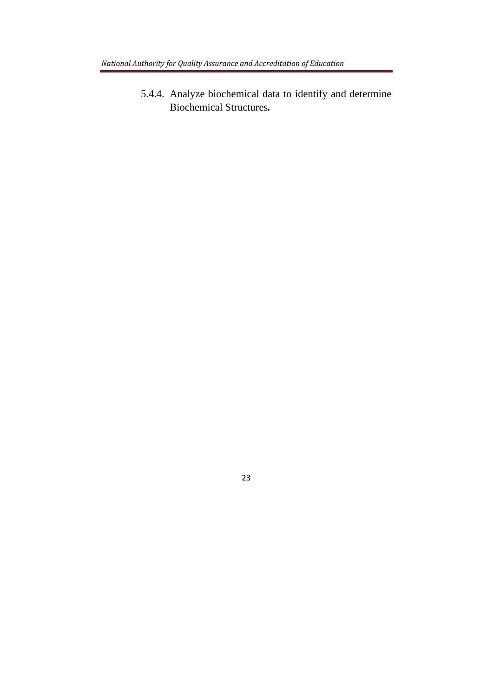5.4.4. Analyze biochemical data to identify and determine Biochemical Structures*.*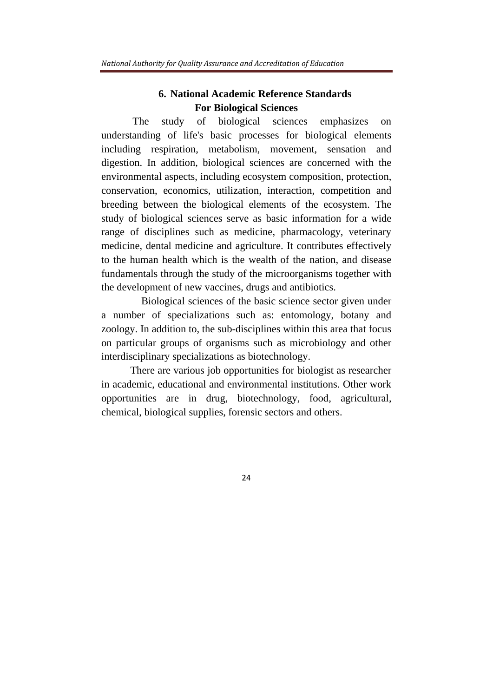## **6. National Academic Reference Standards For Biological Sciences**

The study of biological sciences emphasizes on understanding of life's basic processes for biological elements including respiration, metabolism, movement, sensation and digestion. In addition, biological sciences are concerned with the environmental aspects, including ecosystem composition, protection, conservation, economics, utilization, interaction, competition and breeding between the biological elements of the ecosystem. The study of biological sciences serve as basic information for a wide range of disciplines such as medicine, pharmacology, veterinary medicine, dental medicine and agriculture. It contributes effectively to the human health which is the wealth of the nation, and disease fundamentals through the study of the microorganisms together with the development of new vaccines, drugs and antibiotics.

 Biological sciences of the basic science sector given under a number of specializations such as: entomology, botany and zoology. In addition to, the sub-disciplines within this area that focus on particular groups of organisms such as microbiology and other interdisciplinary specializations as biotechnology.

 There are various job opportunities for biologist as researcher in academic, educational and environmental institutions. Other work opportunities are in drug, biotechnology, food, agricultural, chemical, biological supplies, forensic sectors and others.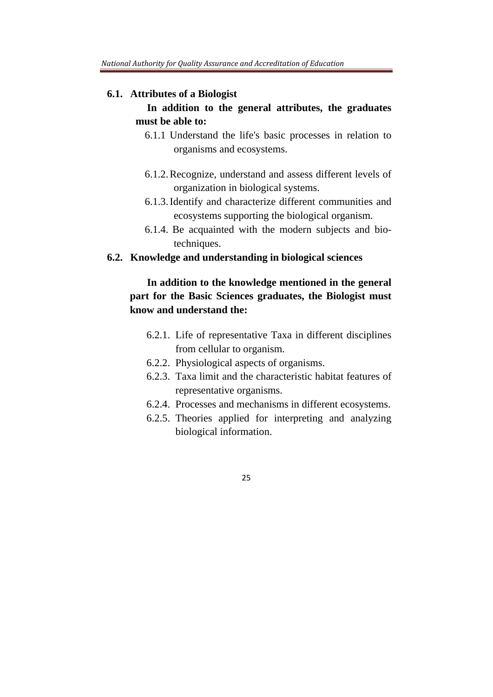#### **6.1. Attributes of a Biologist**

## **In addition to the general attributes, the graduates must be able to:**

- 6.1.1 Understand the life's basic processes in relation to organisms and ecosystems.
- 6.1.2.Recognize, understand and assess different levels of organization in biological systems.
- 6.1.3.Identify and characterize different communities and ecosystems supporting the biological organism.
- 6.1.4. Be acquainted with the modern subjects and biotechniques.

#### **6.2. Knowledge and understanding in biological sciences**

## **In addition to the knowledge mentioned in the general part for the Basic Sciences graduates, the Biologist must know and understand the:**

- 6.2.1. Life of representative Taxa in different disciplines from cellular to organism.
- 6.2.2. Physiological aspects of organisms.
- 6.2.3. Taxa limit and the characteristic habitat features of representative organisms.
- 6.2.4. Processes and mechanisms in different ecosystems.
- 6.2.5. Theories applied for interpreting and analyzing biological information.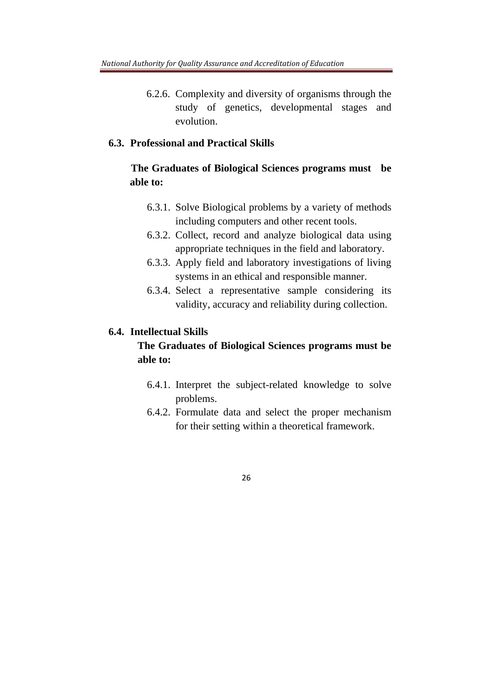6.2.6. Complexity and diversity of organisms through the study of genetics, developmental stages and evolution.

## **6.3. Professional and Practical Skills**

## **The Graduates of Biological Sciences programs must be able to:**

- 6.3.1. Solve Biological problems by a variety of methods including computers and other recent tools.
- 6.3.2. Collect, record and analyze biological data using appropriate techniques in the field and laboratory.
- 6.3.3. Apply field and laboratory investigations of living systems in an ethical and responsible manner.
- 6.3.4. Select a representative sample considering its validity, accuracy and reliability during collection.

#### **6.4. Intellectual Skills**

## **The Graduates of Biological Sciences programs must be able to:**

- 6.4.1. Interpret the subject-related knowledge to solve problems.
- 6.4.2. Formulate data and select the proper mechanism for their setting within a theoretical framework.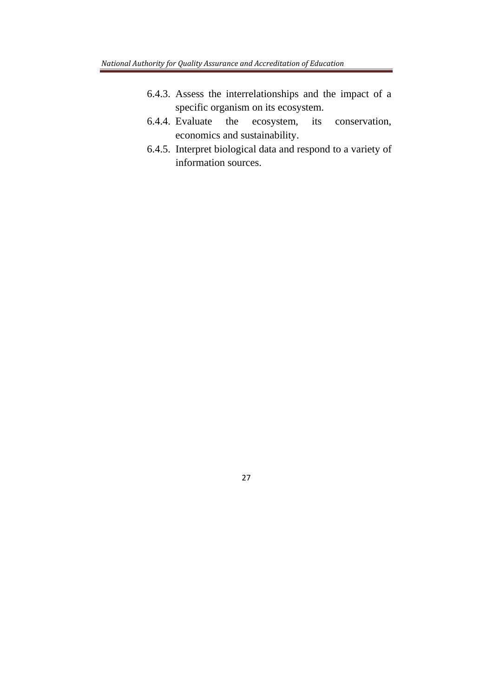- 6.4.3. Assess the interrelationships and the impact of a specific organism on its ecosystem.
- 6.4.4. Evaluate the ecosystem, its conservation, economics and sustainability.
- 6.4.5. Interpret biological data and respond to a variety of information sources.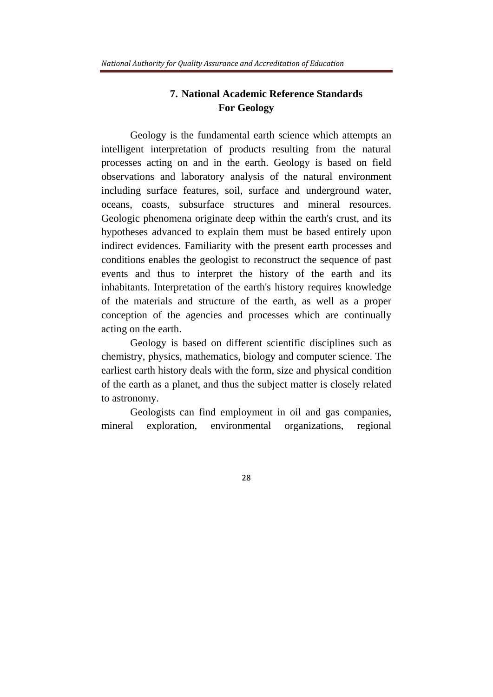## **7. National Academic Reference Standards For Geology**

Geology is the fundamental earth science which attempts an intelligent interpretation of products resulting from the natural processes acting on and in the earth. Geology is based on field observations and laboratory analysis of the natural environment including surface features, soil, surface and underground water, oceans, coasts, subsurface structures and mineral resources. Geologic phenomena originate deep within the earth's crust, and its hypotheses advanced to explain them must be based entirely upon indirect evidences. Familiarity with the present earth processes and conditions enables the geologist to reconstruct the sequence of past events and thus to interpret the history of the earth and its inhabitants. Interpretation of the earth's history requires knowledge of the materials and structure of the earth, as well as a proper conception of the agencies and processes which are continually acting on the earth.

Geology is based on different scientific disciplines such as chemistry, physics, mathematics, biology and computer science. The earliest earth history deals with the form, size and physical condition of the earth as a planet, and thus the subject matter is closely related to astronomy.

Geologists can find employment in oil and gas companies, mineral exploration, environmental organizations, regional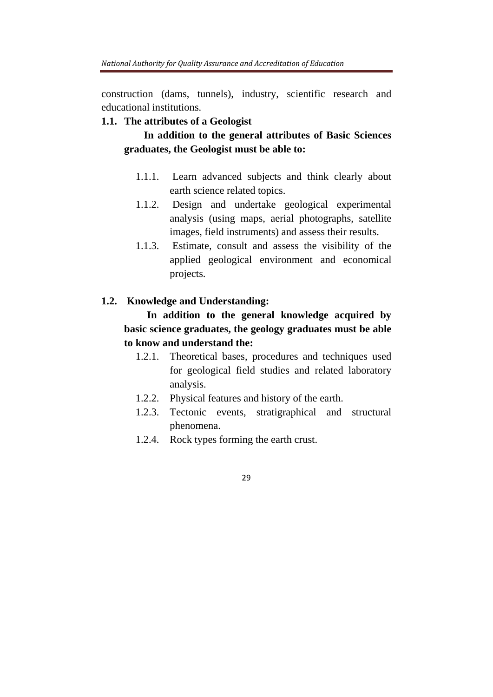construction (dams, tunnels), industry, scientific research and educational institutions.

## **1.1. The attributes of a Geologist**

 **In addition to the general attributes of Basic Sciences graduates, the Geologist must be able to:** 

- 1.1.1. Learn advanced subjects and think clearly about earth science related topics.
- 1.1.2. Design and undertake geological experimental analysis (using maps, aerial photographs, satellite images, field instruments) and assess their results.
- 1.1.3. Estimate, consult and assess the visibility of the applied geological environment and economical projects.

## **1.2. Knowledge and Understanding:**

## **In addition to the general knowledge acquired by basic science graduates, the geology graduates must be able to know and understand the:**

- 1.2.1. Theoretical bases, procedures and techniques used for geological field studies and related laboratory analysis.
- 1.2.2. Physical features and history of the earth.
- 1.2.3. Tectonic events, stratigraphical and structural phenomena.
- 1.2.4. Rock types forming the earth crust.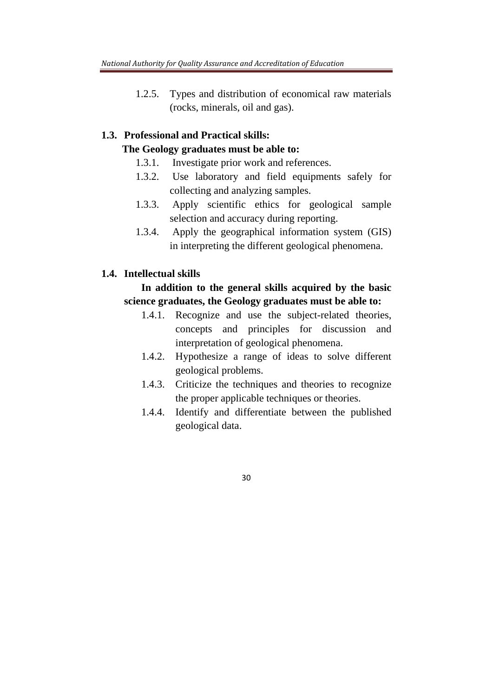1.2.5. Types and distribution of economical raw materials (rocks, minerals, oil and gas).

## **1.3. Professional and Practical skills:**

## **The Geology graduates must be able to:**

- 1.3.1. Investigate prior work and references.
- 1.3.2. Use laboratory and field equipments safely for collecting and analyzing samples.
- 1.3.3. Apply scientific ethics for geological sample selection and accuracy during reporting.
- 1.3.4. Apply the geographical information system (GIS) in interpreting the different geological phenomena.

## **1.4. Intellectual skills**

## **In addition to the general skills acquired by the basic science graduates, the Geology graduates must be able to:**

- 1.4.1. Recognize and use the subject-related theories, concepts and principles for discussion and interpretation of geological phenomena.
- 1.4.2. Hypothesize a range of ideas to solve different geological problems.
- 1.4.3. Criticize the techniques and theories to recognize the proper applicable techniques or theories.
- 1.4.4. Identify and differentiate between the published geological data.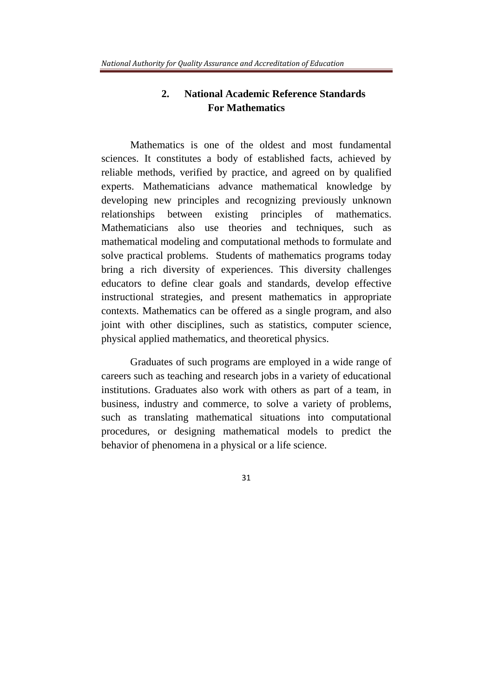## **2. National Academic Reference Standards For Mathematics**

Mathematics is one of the oldest and most fundamental sciences. It constitutes a body of established facts, achieved by reliable methods, verified by practice, and agreed on by qualified experts. Mathematicians advance mathematical knowledge by developing new principles and recognizing previously unknown relationships between existing principles of mathematics. Mathematicians also use theories and techniques, such as mathematical modeling and computational methods to formulate and solve practical problems. Students of mathematics programs today bring a rich diversity of experiences. This diversity challenges educators to define clear goals and standards, develop effective instructional strategies, and present mathematics in appropriate contexts. Mathematics can be offered as a single program, and also joint with other disciplines, such as statistics, computer science, physical applied mathematics, and theoretical physics.

Graduates of such programs are employed in a wide range of careers such as teaching and research jobs in a variety of educational institutions. Graduates also work with others as part of a team, in business, industry and commerce, to solve a variety of problems, such as translating mathematical situations into computational procedures, or designing mathematical models to predict the behavior of phenomena in a physical or a life science.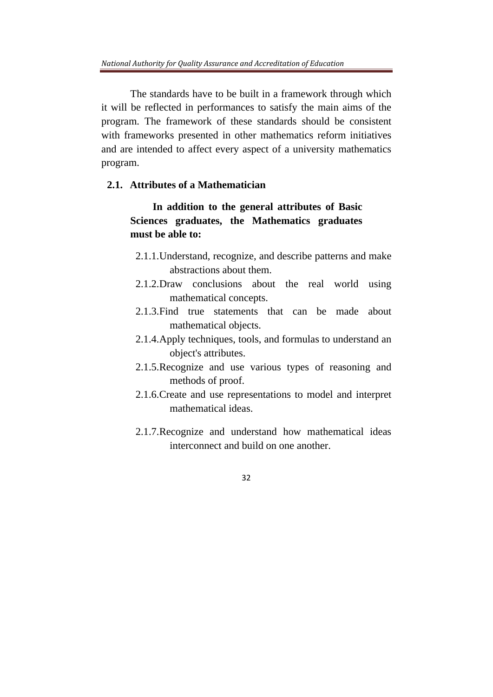The standards have to be built in a framework through which it will be reflected in performances to satisfy the main aims of the program. The framework of these standards should be consistent with frameworks presented in other mathematics reform initiatives and are intended to affect every aspect of a university mathematics program.

### **2.1. Attributes of a Mathematician**

**In addition to the general attributes of Basic Sciences graduates, the Mathematics graduates must be able to:** 

- 2.1.1.Understand, recognize, and describe patterns and make abstractions about them.
- 2.1.2.Draw conclusions about the real world using mathematical concepts.
- 2.1.3.Find true statements that can be made about mathematical objects.
- 2.1.4.Apply techniques, tools, and formulas to understand an object's attributes.
- 2.1.5.Recognize and use various types of reasoning and methods of proof.
- 2.1.6.Create and use representations to model and interpret mathematical ideas.
- 2.1.7.Recognize and understand how mathematical ideas interconnect and build on one another.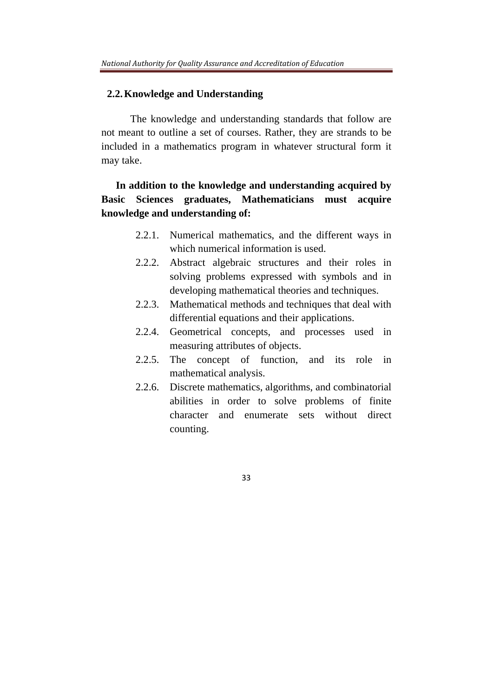#### **2.2.Knowledge and Understanding**

The knowledge and understanding standards that follow are not meant to outline a set of courses. Rather, they are strands to be included in a mathematics program in whatever structural form it may take.

## **In addition to the knowledge and understanding acquired by Basic Sciences graduates, Mathematicians must acquire knowledge and understanding of:**

- 2.2.1. Numerical mathematics, and the different ways in which numerical information is used.
- 2.2.2. Abstract algebraic structures and their roles in solving problems expressed with symbols and in developing mathematical theories and techniques.
- 2.2.3. Mathematical methods and techniques that deal with differential equations and their applications.
- 2.2.4. Geometrical concepts, and processes used in measuring attributes of objects.
- 2.2.5. The concept of function, and its role in mathematical analysis.
- 2.2.6. Discrete mathematics, algorithms, and combinatorial abilities in order to solve problems of finite character and enumerate sets without direct counting.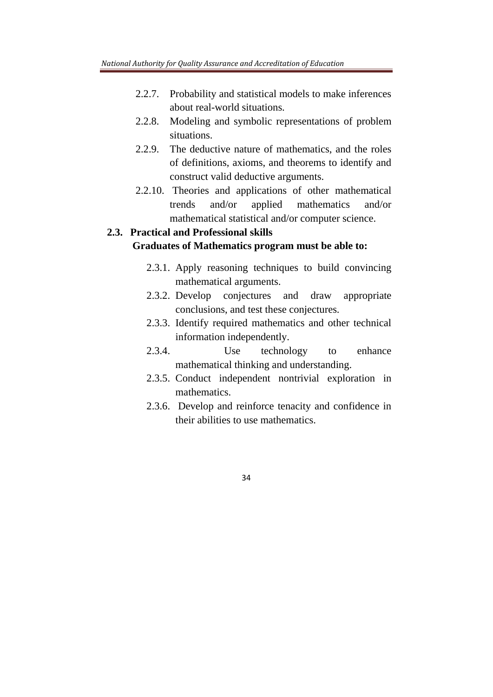- 2.2.7. Probability and statistical models to make inferences about real-world situations.
- 2.2.8. Modeling and symbolic representations of problem situations.
- 2.2.9. The deductive nature of mathematics, and the roles of definitions, axioms, and theorems to identify and construct valid deductive arguments.
- 2.2.10. Theories and applications of other mathematical trends and/or applied mathematics and/or mathematical statistical and/or computer science.

## **2.3. Practical and Professional skills Graduates of Mathematics program must be able to:**

- 2.3.1. Apply reasoning techniques to build convincing mathematical arguments.
- 2.3.2. Develop conjectures and draw appropriate conclusions, and test these conjectures.
- 2.3.3. Identify required mathematics and other technical information independently.
- 2.3.4. Use technology to enhance mathematical thinking and understanding.
- 2.3.5. Conduct independent nontrivial exploration in mathematics.
- 2.3.6. Develop and reinforce tenacity and confidence in their abilities to use mathematics.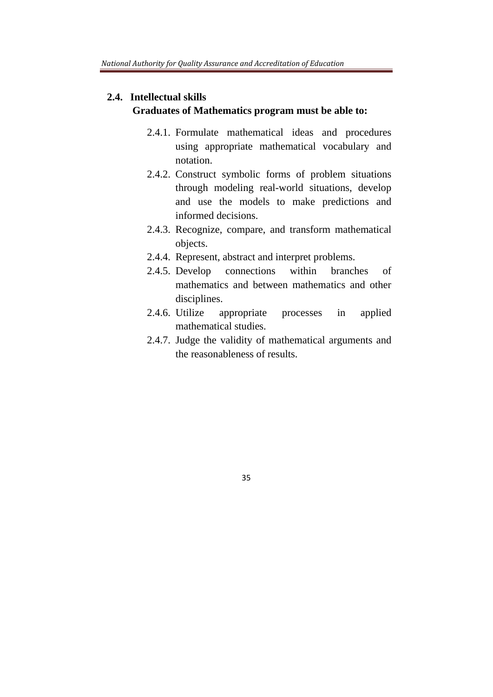### **2.4. Intellectual skills**

#### **Graduates of Mathematics program must be able to:**

- 2.4.1. Formulate mathematical ideas and procedures using appropriate mathematical vocabulary and notation.
- 2.4.2. Construct symbolic forms of problem situations through modeling real-world situations, develop and use the models to make predictions and informed decisions.
- 2.4.3. Recognize, compare, and transform mathematical objects.
- 2.4.4. Represent, abstract and interpret problems.
- 2.4.5. Develop connections within branches of mathematics and between mathematics and other disciplines.
- 2.4.6. Utilize appropriate processes in applied mathematical studies.
- 2.4.7. Judge the validity of mathematical arguments and the reasonableness of results.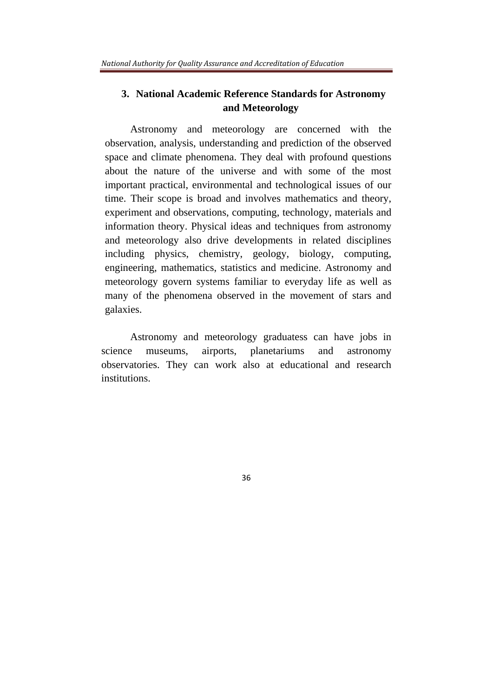## **3. National Academic Reference Standards for Astronomy and Meteorology**

Astronomy and meteorology are concerned with the observation, analysis, understanding and prediction of the observed space and climate phenomena. They deal with profound questions about the nature of the universe and with some of the most important practical, environmental and technological issues of our time. Their scope is broad and involves mathematics and theory, experiment and observations, computing, technology, materials and information theory. Physical ideas and techniques from astronomy and meteorology also drive developments in related disciplines including physics, chemistry, geology, biology, computing, engineering, mathematics, statistics and medicine. Astronomy and meteorology govern systems familiar to everyday life as well as many of the phenomena observed in the movement of stars and galaxies.

Astronomy and meteorology graduatess can have jobs in science museums, airports, planetariums and astronomy observatories. They can work also at educational and research institutions.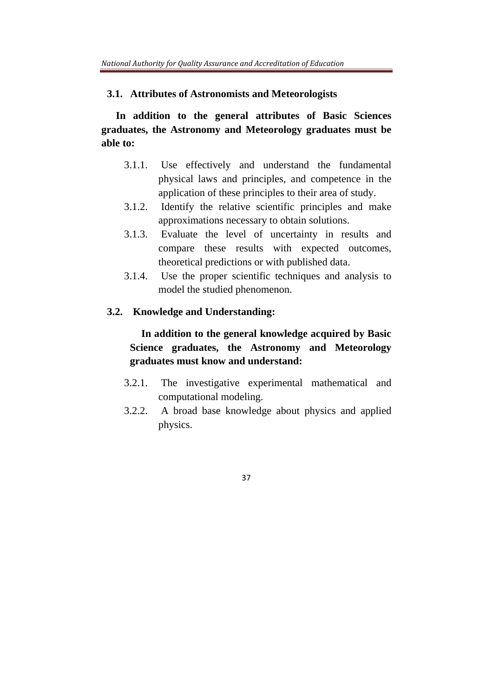#### **3.1. Attributes of Astronomists and Meteorologists**

**In addition to the general attributes of Basic Sciences graduates, the Astronomy and Meteorology graduates must be able to:** 

- 3.1.1. Use effectively and understand the fundamental physical laws and principles, and competence in the application of these principles to their area of study.
- 3.1.2. Identify the relative scientific principles and make approximations necessary to obtain solutions.
- 3.1.3. Evaluate the level of uncertainty in results and compare these results with expected outcomes, theoretical predictions or with published data.
- 3.1.4. Use the proper scientific techniques and analysis to model the studied phenomenon.

### **3.2. Knowledge and Understanding:**

**In addition to the general knowledge acquired by Basic Science graduates, the Astronomy and Meteorology graduates must know and understand:** 

- 3.2.1. The investigative experimental mathematical and computational modeling.
- 3.2.2. A broad base knowledge about physics and applied physics.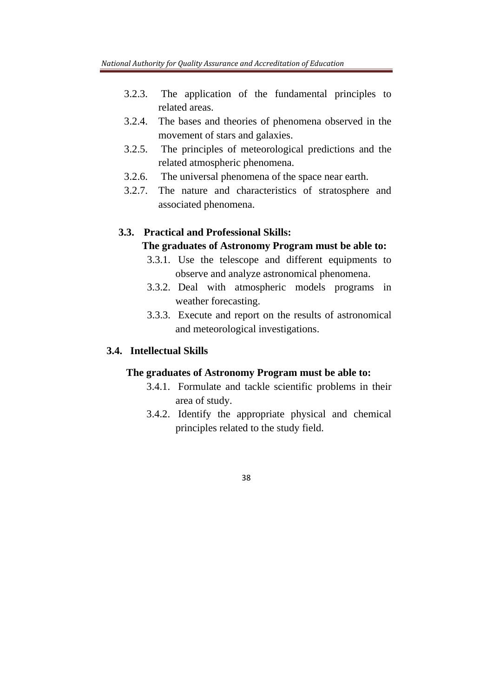- 3.2.3. The application of the fundamental principles to related areas.
- 3.2.4. The bases and theories of phenomena observed in the movement of stars and galaxies.
- 3.2.5. The principles of meteorological predictions and the related atmospheric phenomena.
- 3.2.6. The universal phenomena of the space near earth.
- 3.2.7. The nature and characteristics of stratosphere and associated phenomena.

## **3.3. Practical and Professional Skills:**

### **The graduates of Astronomy Program must be able to:**

- 3.3.1. Use the telescope and different equipments to observe and analyze astronomical phenomena.
- 3.3.2. Deal with atmospheric models programs in weather forecasting.
- 3.3.3. Execute and report on the results of astronomical and meteorological investigations.

#### **3.4. Intellectual Skills**

#### **The graduates of Astronomy Program must be able to:**

- 3.4.1. Formulate and tackle scientific problems in their area of study.
- 3.4.2. Identify the appropriate physical and chemical principles related to the study field.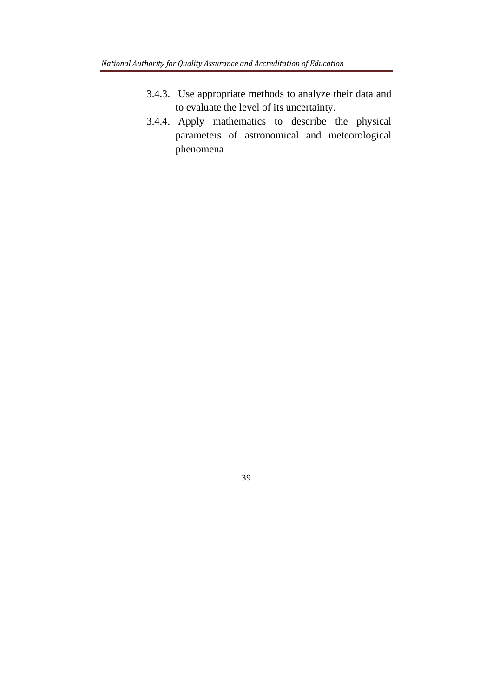- 3.4.3. Use appropriate methods to analyze their data and to evaluate the level of its uncertainty.
- 3.4.4. Apply mathematics to describe the physical parameters of astronomical and meteorological phenomena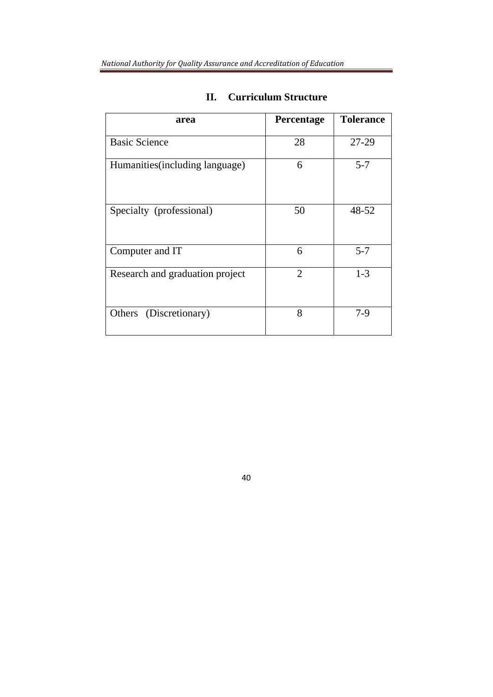| area                            | Percentage     | <b>Tolerance</b> |
|---------------------------------|----------------|------------------|
| <b>Basic Science</b>            | 28             | 27-29            |
| Humanities (including language) | 6              | $5 - 7$          |
| Specialty (professional)        | 50             | 48-52            |
| Computer and IT                 | 6              | $5 - 7$          |
| Research and graduation project | $\overline{2}$ | $1 - 3$          |
| (Discretionary)<br>Others       | 8              | $7-9$            |

# **II. Curriculum Structure**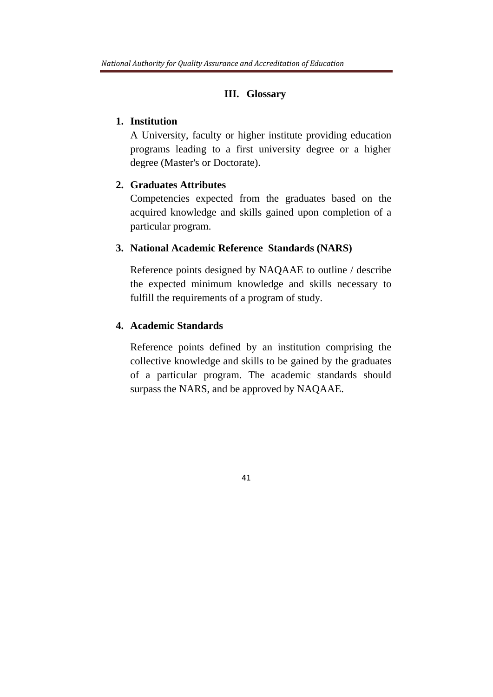### **III. Glossary**

### **1. Institution**

A University, faculty or higher institute providing education programs leading to a first university degree or a higher degree (Master's or Doctorate).

### **2. Graduates Attributes**

Competencies expected from the graduates based on the acquired knowledge and skills gained upon completion of a particular program.

### **3. National Academic Reference Standards (NARS)**

Reference points designed by NAQAAE to outline / describe the expected minimum knowledge and skills necessary to fulfill the requirements of a program of study*.*

## **4. Academic Standards**

Reference points defined by an institution comprising the collective knowledge and skills to be gained by the graduates of a particular program. The academic standards should surpass the NARS, and be approved by NAQAAE.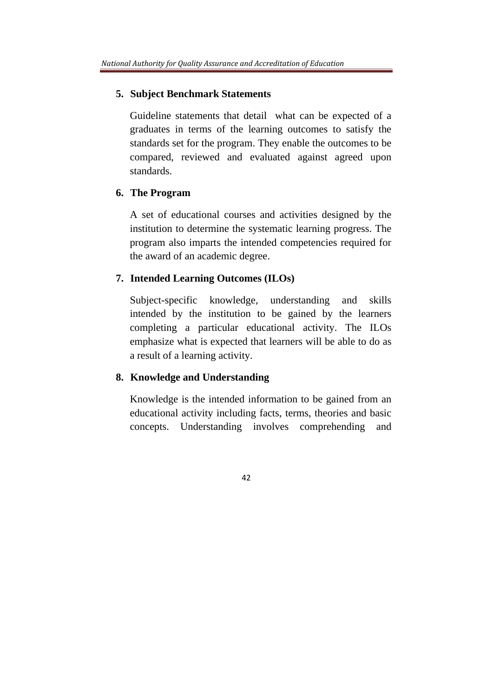#### **5. Subject Benchmark Statements**

Guideline statements that detail what can be expected of a graduates in terms of the learning outcomes to satisfy the standards set for the program. They enable the outcomes to be compared, reviewed and evaluated against agreed upon standards.

#### **6. The Program**

A set of educational courses and activities designed by the institution to determine the systematic learning progress. The program also imparts the intended competencies required for the award of an academic degree.

### **7. Intended Learning Outcomes (ILOs)**

Subject-specific knowledge, understanding and skills intended by the institution to be gained by the learners completing a particular educational activity. The ILOs emphasize what is expected that learners will be able to do as a result of a learning activity.

### **8. Knowledge and Understanding**

Knowledge is the intended information to be gained from an educational activity including facts, terms, theories and basic concepts. Understanding involves comprehending and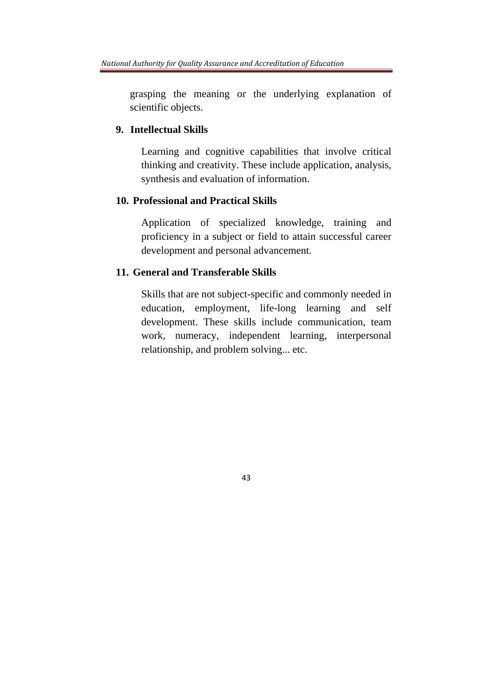grasping the meaning or the underlying explanation of scientific objects.

#### **9. Intellectual Skills**

Learning and cognitive capabilities that involve critical thinking and creativity. These include application, analysis, synthesis and evaluation of information.

#### **10. Professional and Practical Skills**

Application of specialized knowledge, training and proficiency in a subject or field to attain successful career development and personal advancement.

### **11. General and Transferable Skills**

Skills that are not subject-specific and commonly needed in education, employment, life-long learning and self development. These skills include communication, team work, numeracy, independent learning, interpersonal relationship, and problem solving... etc.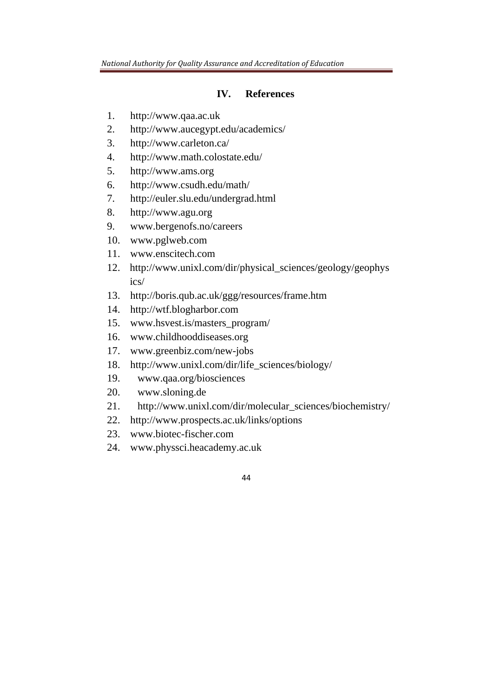### **IV. References**

- 1. http://www.qaa.ac.uk
- 2. http://www.aucegypt.edu/academics/
- 3. http://www.carleton.ca/
- 4. http://www.math.colostate.edu/
- 5. http://www.ams.org
- 6. http://www.csudh.edu/math/
- 7. http://euler.slu.edu/undergrad.html
- 8. http://www.agu.org
- 9. www.bergenofs.no/careers
- 10. www.pglweb.com
- 11. www.enscitech.com
- 12. http://www.unixl.com/dir/physical\_sciences/geology/geophys ics/
- 13. http://boris.qub.ac.uk/ggg/resources/frame.htm
- 14. http://wtf.blogharbor.com
- 15. www.hsvest.is/masters\_program/
- 16. www.childhooddiseases.org
- 17. www.greenbiz.com/new-jobs
- 18. http://www.unixl.com/dir/life\_sciences/biology/
- 19. www.qaa.org/biosciences
- 20. www.sloning.de
- 21. http://www.unixl.com/dir/molecular\_sciences/biochemistry/
- 22. http://www.prospects.ac.uk/links/options
- 23. www.biotec-fischer.com
- 24. www.physsci.heacademy.ac.uk